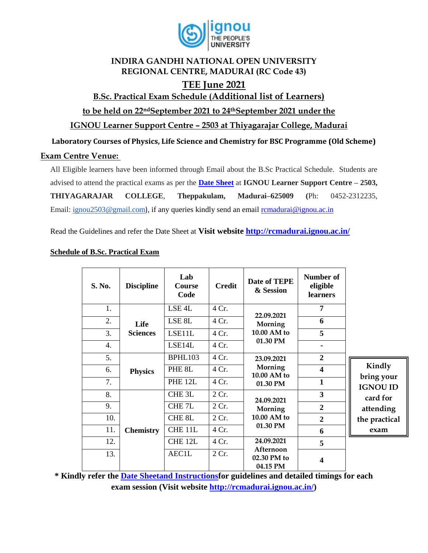

#### **INDIRA GANDHI NATIONAL OPEN UNIVERSITY REGIONAL CENTRE, MADURAI (RC Code 43)**

## **TEE June 2021**

### **B.Sc. Practical Exam Schedule (Additional list of Learners)**

**to be held on 22ndSeptember 2021 to 24thSeptember 2021 under the** 

**IGNOU Learner Support Centre – 2503 at Thiyagarajar College, Madurai** 

**Laboratory Courses of Physics, Life Science and Chemistry for BSC Programme (Old Scheme)** 

#### **Exam Centre Venue:**

All Eligible learners have been informed through Email about the B.Sc Practical Schedule. Students are advised to attend the practical exams as per the **[Date Sheet](http://rcmadurai.ignou.ac.in/Ignou-RC-Madurai/userfiles/file/Guidelines%20for%20students%20of%20B_Sc_Practical_TEEDec20.pdf)** at **IGNOU Learner Support Centre – 2503, THIYAGARAJAR COLLEGE**, **Theppakulam, Madurai–625009 (**Ph: 0452-2312235, Email: [ignou2503@gmail.com](mailto:ignou2503@gmail.com)), if any queries kindly send an email [rcmadurai@ignou.ac.in](mailto:rcmadurai@ignou.ac.in)

Read the Guidelines and refer the Date Sheet at **Visit website<http://rcmadurai.ignou.ac.in/>**

| S. No. | <b>Discipline</b>                                                       | Lab<br>Course<br>Code                                             | <b>Credit</b>         | Date of TEPE<br>& Session                          | Number of<br>eligible<br><b>learners</b>  |                                                                                           |
|--------|-------------------------------------------------------------------------|-------------------------------------------------------------------|-----------------------|----------------------------------------------------|-------------------------------------------|-------------------------------------------------------------------------------------------|
| 1.     | Life<br><b>Sciences</b>                                                 | LSE <sub>4</sub> L                                                | 4 Cr.                 | 22.09.2021<br>Morning<br>10.00 AM to<br>01.30 PM   | 7                                         |                                                                                           |
| 2.     |                                                                         | LSE <sub>8L</sub>                                                 | 4 Cr.                 |                                                    | 6                                         |                                                                                           |
| 3.     |                                                                         | LSE11L                                                            | 4 Cr.                 |                                                    | 5                                         |                                                                                           |
| 4.     |                                                                         | LSE14L                                                            | 4 Cr.                 |                                                    | $\blacksquare$                            |                                                                                           |
| 5.     | <b>Physics</b>                                                          | BPHL103                                                           | 4 Cr.                 | 23.09.2021<br>Morning<br>10.00 AM to<br>01.30 PM   | $\boldsymbol{2}$                          | Kindly<br>bring your<br><b>IGNOU ID</b><br>card for<br>attending<br>the practical<br>exam |
| 6.     |                                                                         | PHE 8L                                                            | 4 Cr.                 |                                                    | $\overline{\mathbf{4}}$                   |                                                                                           |
| 7.     |                                                                         | PHE <sub>12L</sub>                                                | 4 Cr.                 |                                                    | $\mathbf{1}$                              |                                                                                           |
| 8.     | <b>Chemistry</b><br>$\mathbf{u}$ $\mathbf{v}$ $\mathbf{u}$ $\mathbf{u}$ | CHE <sub>3L</sub>                                                 | 2 Cr.                 | 24.09.2021<br>Morning<br>$10.00$ AM to<br>01.30 PM | $\overline{\mathbf{3}}$                   |                                                                                           |
| 9.     |                                                                         | CHE <sub>7L</sub>                                                 | 2 Cr.                 |                                                    | $\boldsymbol{2}$                          |                                                                                           |
| 10.    |                                                                         | CHE <sub>8L</sub>                                                 | 2 Cr.                 |                                                    | $\boldsymbol{2}$                          |                                                                                           |
| 11.    |                                                                         | CHE 11L                                                           | 4 Cr.                 |                                                    | 6                                         |                                                                                           |
| 12.    |                                                                         | CHE <sub>12L</sub>                                                | 4 Cr.                 | 24.09.2021                                         | 5                                         |                                                                                           |
| 13.    |                                                                         | AEC1L<br>$\overline{1}$<br>$\mathbf{u}$ $\mathbf{v}$ $\mathbf{v}$ | 2 Cr.<br>$\mathbf{r}$ | Afternoon<br>02.30 PM to<br>04.15 PM<br>           | $\overline{\mathbf{4}}$<br><b>TTAMINA</b> | $\bullet$                                                                                 |

#### **Schedule of B.Sc. Practical Exam**

**\* Kindly refer the [Date Sheetand Instructionsf](http://rcbijapur.ignou.ac.in/Ignou-RC-Bijapur/userfiles/file/guidelines%20for%20students%20of%20B_Sc_Programme.pdf)or guidelines and detailed timings for each exam session (Visit website [http://rcmadurai.ignou.ac.in/\)](http://rcmadurai.ignou.ac.in/)**